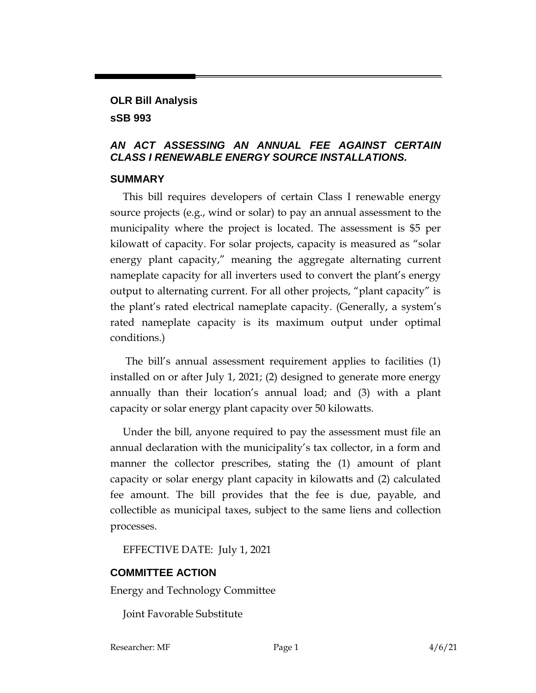## **OLR Bill Analysis sSB 993**

## *AN ACT ASSESSING AN ANNUAL FEE AGAINST CERTAIN CLASS I RENEWABLE ENERGY SOURCE INSTALLATIONS.*

## **SUMMARY**

This bill requires developers of certain Class I renewable energy source projects (e.g., wind or solar) to pay an annual assessment to the municipality where the project is located. The assessment is \$5 per kilowatt of capacity. For solar projects, capacity is measured as "solar energy plant capacity," meaning the aggregate alternating current nameplate capacity for all inverters used to convert the plant's energy output to alternating current. For all other projects, "plant capacity" is the plant's rated electrical nameplate capacity. (Generally, a system's rated nameplate capacity is its maximum output under optimal conditions.)

The bill's annual assessment requirement applies to facilities (1) installed on or after July 1, 2021; (2) designed to generate more energy annually than their location's annual load; and (3) with a plant capacity or solar energy plant capacity over 50 kilowatts.

Under the bill, anyone required to pay the assessment must file an annual declaration with the municipality's tax collector, in a form and manner the collector prescribes, stating the (1) amount of plant capacity or solar energy plant capacity in kilowatts and (2) calculated fee amount. The bill provides that the fee is due, payable, and collectible as municipal taxes, subject to the same liens and collection processes.

EFFECTIVE DATE: July 1, 2021

## **COMMITTEE ACTION**

Energy and Technology Committee

Joint Favorable Substitute

Researcher: MF Page 1 4/6/21